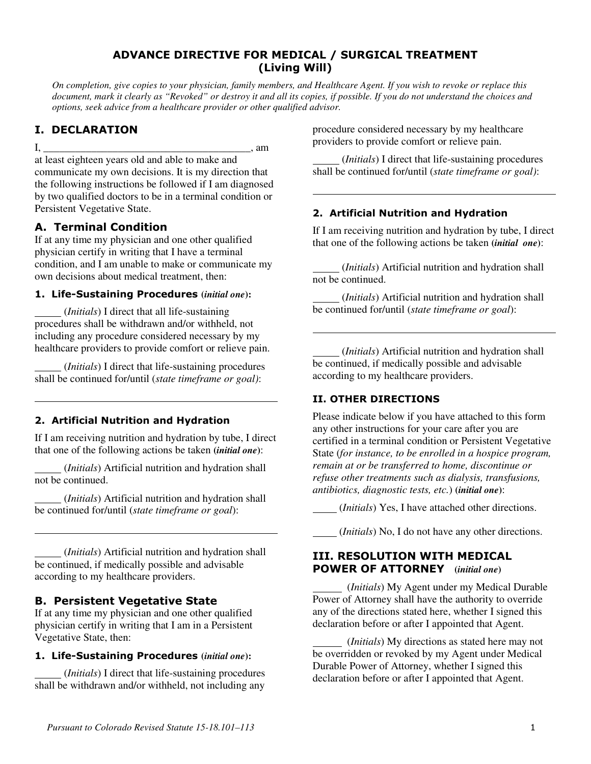### ADVANCE DIRECTIVE FOR MEDICAL / SURGICAL TREATMENT (Living Will)

*On completion, give copies to your physician, family members, and Healthcare Agent. If you wish to revoke or replace this document, mark it clearly as "Revoked" or destroy it and all its copies, if possible. If you do not understand the choices and options, seek advice from a healthcare provider or other qualified advisor.* 

 $\overline{a}$ 

 $\overline{a}$ 

## I. DECLARATION

 $\overline{a}$ 

 $\overline{\phantom{a}}$ 

 $I, \_$  am at least eighteen years old and able to make and communicate my own decisions. It is my direction that the following instructions be followed if I am diagnosed by two qualified doctors to be in a terminal condition or Persistent Vegetative State.

# A. Terminal Condition

If at any time my physician and one other qualified physician certify in writing that I have a terminal condition, and I am unable to make or communicate my own decisions about medical treatment, then:

### 1. Life-Sustaining Procedures **(***initial one***):**

 (*Initials*) I direct that all life-sustaining procedures shall be withdrawn and/or withheld, not including any procedure considered necessary by my healthcare providers to provide comfort or relieve pain.

 (*Initials*) I direct that life-sustaining procedures shall be continued for/until (*state timeframe or goal)*:

## 2. Artificial Nutrition and Hydration

If I am receiving nutrition and hydration by tube, I direct that one of the following actions be taken **(***initial one***)**:

 (*Initials*) Artificial nutrition and hydration shall not be continued.

 (*Initials*) Artificial nutrition and hydration shall be continued for/until (*state timeframe or goal*):

 (*Initials*) Artificial nutrition and hydration shall be continued, if medically possible and advisable according to my healthcare providers.

## B. Persistent Vegetative State

If at any time my physician and one other qualified physician certify in writing that I am in a Persistent Vegetative State, then:

## 1. Life-Sustaining Procedures **(***initial one***):**

 (*Initials*) I direct that life-sustaining procedures shall be withdrawn and/or withheld, not including any

procedure considered necessary by my healthcare providers to provide comfort or relieve pain.

 (*Initials*) I direct that life-sustaining procedures shall be continued for/until (*state timeframe or goal)*:

## 2. Artificial Nutrition and Hydration

If I am receiving nutrition and hydration by tube, I direct that one of the following actions be taken **(***initial one***)**:

 (*Initials*) Artificial nutrition and hydration shall not be continued.

 (*Initials*) Artificial nutrition and hydration shall be continued for/until (*state timeframe or goal*):

 (*Initials*) Artificial nutrition and hydration shall be continued, if medically possible and advisable according to my healthcare providers.

## II. OTHER DIRECTIONS

Please indicate below if you have attached to this form any other instructions for your care after you are certified in a terminal condition or Persistent Vegetative State (*for instance, to be enrolled in a hospice program, remain at or be transferred to home, discontinue or refuse other treatments such as dialysis, transfusions, antibiotics, diagnostic tests, etc.*) **(***initial one***)**:

(*Initials*) Yes, I have attached other directions.

(*Initials*) No, I do not have any other directions.

#### III. RESOLUTION WITH MEDICAL POWER OF ATTORNEY **(***initial one***)**

 (*Initials*) My Agent under my Medical Durable Power of Attorney shall have the authority to override any of the directions stated here, whether I signed this declaration before or after I appointed that Agent.

 (*Initials*) My directions as stated here may not be overridden or revoked by my Agent under Medical Durable Power of Attorney, whether I signed this declaration before or after I appointed that Agent.